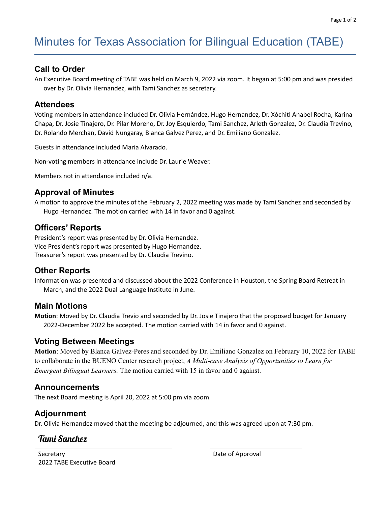# Minutes for Texas Association for Bilingual Education (TABE)

## **Call to Order**

An Executive Board meeting of TABE was held on March 9, 2022 via zoom. It began at 5:00 pm and was presided over by Dr. Olivia Hernandez, with Tami Sanchez as secretary.

#### **Attendees**

Voting members in attendance included Dr. Olivia Hernández, Hugo Hernandez, Dr. Xóchitl Anabel Rocha, Karina Chapa, Dr. Josie Tinajero, Dr. Pilar Moreno, Dr. Joy Esquierdo, Tami Sanchez, Arleth Gonzalez, Dr. Claudia Trevino, Dr. Rolando Merchan, David Nungaray, Blanca Galvez Perez, and Dr. Emiliano Gonzalez.

Guests in attendance included Maria Alvarado.

Non-voting members in attendance include Dr. Laurie Weaver.

Members not in attendance included n/a.

### **Approval of Minutes**

A motion to approve the minutes of the February 2, 2022 meeting was made by Tami Sanchez and seconded by Hugo Hernandez. The motion carried with 14 in favor and 0 against.

#### **Officers' Reports**

President's report was presented by Dr. Olivia Hernandez. Vice President's report was presented by Hugo Hernandez. Treasurer's report was presented by Dr. Claudia Trevino.

## **Other Reports**

Information was presented and discussed about the 2022 Conference in Houston, the Spring Board Retreat in March, and the 2022 Dual Language Institute in June.

#### **Main Motions**

**Motion**: Moved by Dr. Claudia Trevio and seconded by Dr. Josie Tinajero that the proposed budget for January 2022-December 2022 be accepted. The motion carried with 14 in favor and 0 against.

#### **Voting Between Meetings**

**Motion**: Moved by Blanca Galvez-Peres and seconded by Dr. Emiliano Gonzalez on February 10, 2022 for TABE to collaborate in the BUENO Center research project, *A Multi-case Analysis of Opportunities to Learn for Emergent Bilingual Learners.* The motion carried with 15 in favor and 0 against.

#### **Announcements**

The next Board meeting is April 20, 2022 at 5:00 pm via zoom.

#### **Adjournment**

Dr. Olivia Hernandez moved that the meeting be adjourned, and this was agreed upon at 7:30 pm.

## Tami Sanchez

**Secretary** 2022 TABE Executive Board Date of Approval